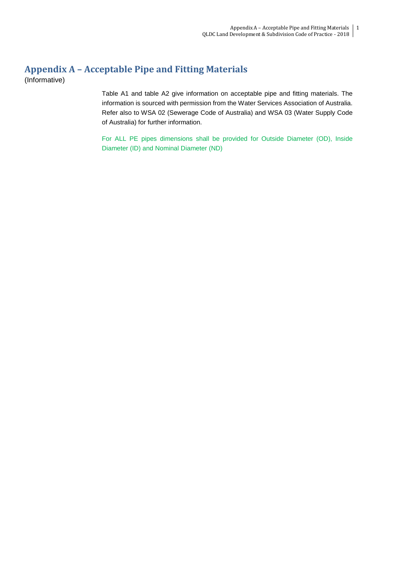# **Appendix A – Acceptable Pipe and Fitting Materials**

(Informative)

Table A1 and table A2 give information on acceptable pipe and fitting materials. The information is sourced with permission from the Water Services Association of Australia. Refer also to WSA 02 (Sewerage Code of Australia) and WSA 03 (Water Supply Code of Australia) for further information.

For ALL PE pipes dimensions shall be provided for Outside Diameter (OD), Inside Diameter (ID) and Nominal Diameter (ND)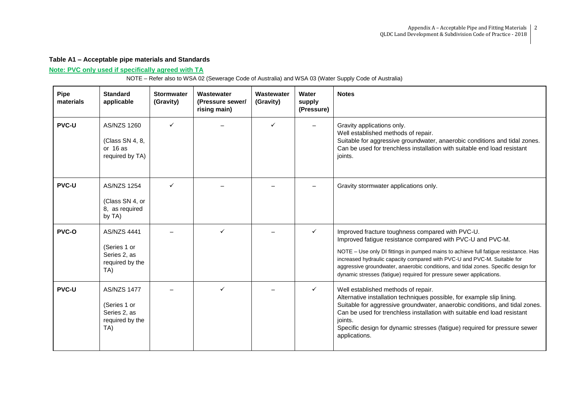### **Table A1 – Acceptable pipe materials and Standards**

### **Note: PVC only used if specifically agreed with TA**

NOTE – Refer also to WSA 02 (Sewerage Code of Australia) and WSA 03 (Water Supply Code of Australia)

| <b>Pipe</b><br>materials | <b>Standard</b><br>applicable                                                | <b>Stormwater</b><br>(Gravity) | Wastewater<br>(Pressure sewer/<br>rising main) | Wastewater<br>(Gravity) | Water<br>supply<br>(Pressure) | <b>Notes</b>                                                                                                                                                                                                                                                                                                                                                                                                                                    |
|--------------------------|------------------------------------------------------------------------------|--------------------------------|------------------------------------------------|-------------------------|-------------------------------|-------------------------------------------------------------------------------------------------------------------------------------------------------------------------------------------------------------------------------------------------------------------------------------------------------------------------------------------------------------------------------------------------------------------------------------------------|
| <b>PVC-U</b>             | <b>AS/NZS 1260</b><br>(Class SN 4, 8,<br>or $16$ as<br>required by TA)       | ✓                              |                                                | $\checkmark$            |                               | Gravity applications only.<br>Well established methods of repair.<br>Suitable for aggressive groundwater, anaerobic conditions and tidal zones.<br>Can be used for trenchless installation with suitable end load resistant<br>joints.                                                                                                                                                                                                          |
| <b>PVC-U</b>             | <b>AS/NZS 1254</b><br>(Class SN 4, or<br>8, as required<br>by TA)            | ✓                              |                                                |                         |                               | Gravity stormwater applications only.                                                                                                                                                                                                                                                                                                                                                                                                           |
| <b>PVC-O</b>             | <b>AS/NZS 4441</b><br>(Series 1 or<br>Series 2, as<br>required by the<br>TA) |                                |                                                |                         | ✓                             | Improved fracture toughness compared with PVC-U.<br>Improved fatigue resistance compared with PVC-U and PVC-M.<br>NOTE - Use only DI fittings in pumped mains to achieve full fatigue resistance. Has<br>increased hydraulic capacity compared with PVC-U and PVC-M. Suitable for<br>aggressive groundwater, anaerobic conditions, and tidal zones. Specific design for<br>dynamic stresses (fatigue) required for pressure sewer applications. |
| <b>PVC-U</b>             | <b>AS/NZS 1477</b><br>(Series 1 or<br>Series 2, as<br>required by the<br>TA) |                                |                                                |                         | ✓                             | Well established methods of repair.<br>Alternative installation techniques possible, for example slip lining.<br>Suitable for aggressive groundwater, anaerobic conditions, and tidal zones.<br>Can be used for trenchless installation with suitable end load resistant<br>joints.<br>Specific design for dynamic stresses (fatigue) required for pressure sewer<br>applications.                                                              |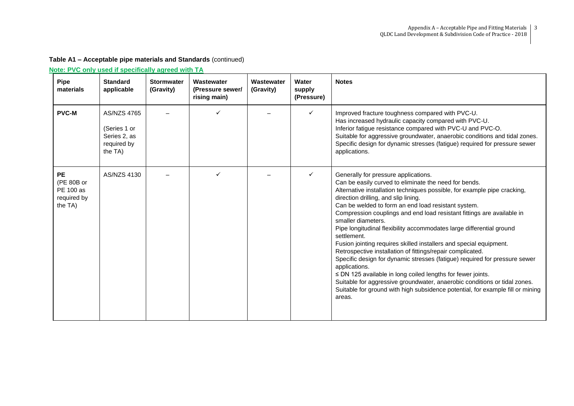| <b>Pipe</b><br>materials                                       | <b>Standard</b><br>applicable                                                | <b>Stormwater</b><br>(Gravity) | Wastewater<br>(Pressure sewer/<br>rising main) | Wastewater<br>(Gravity) | <b>Water</b><br>supply<br>(Pressure) | <b>Notes</b>                                                                                                                                                                                                                                                                                                                                                                                                                                                                                                                                                                                                                                                                                                                                                                                                                                                                                                                               |
|----------------------------------------------------------------|------------------------------------------------------------------------------|--------------------------------|------------------------------------------------|-------------------------|--------------------------------------|--------------------------------------------------------------------------------------------------------------------------------------------------------------------------------------------------------------------------------------------------------------------------------------------------------------------------------------------------------------------------------------------------------------------------------------------------------------------------------------------------------------------------------------------------------------------------------------------------------------------------------------------------------------------------------------------------------------------------------------------------------------------------------------------------------------------------------------------------------------------------------------------------------------------------------------------|
| <b>PVC-M</b>                                                   | <b>AS/NZS 4765</b><br>(Series 1 or<br>Series 2, as<br>required by<br>the TA) |                                |                                                |                         | ✓                                    | Improved fracture toughness compared with PVC-U.<br>Has increased hydraulic capacity compared with PVC-U.<br>Inferior fatigue resistance compared with PVC-U and PVC-O.<br>Suitable for aggressive groundwater, anaerobic conditions and tidal zones.<br>Specific design for dynamic stresses (fatigue) required for pressure sewer<br>applications.                                                                                                                                                                                                                                                                                                                                                                                                                                                                                                                                                                                       |
| <b>PE</b><br>(PE 80B or<br>PE 100 as<br>required by<br>the TA) | AS/NZS 4130                                                                  |                                | ✓                                              |                         | $\checkmark$                         | Generally for pressure applications.<br>Can be easily curved to eliminate the need for bends.<br>Alternative installation techniques possible, for example pipe cracking,<br>direction drilling, and slip lining.<br>Can be welded to form an end load resistant system.<br>Compression couplings and end load resistant fittings are available in<br>smaller diameters.<br>Pipe longitudinal flexibility accommodates large differential ground<br>settlement.<br>Fusion jointing requires skilled installers and special equipment.<br>Retrospective installation of fittings/repair complicated.<br>Specific design for dynamic stresses (fatigue) required for pressure sewer<br>applications.<br>≤ DN 125 available in long coiled lengths for fewer joints.<br>Suitable for aggressive groundwater, anaerobic conditions or tidal zones.<br>Suitable for ground with high subsidence potential, for example fill or mining<br>areas. |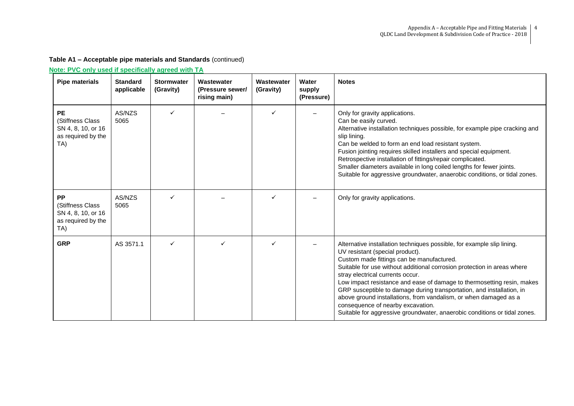| <b>Pipe materials</b>                                                            | <b>Standard</b><br>applicable | <b>Stormwater</b><br>(Gravity) | Wastewater<br>(Pressure sewer/<br>rising main) | Wastewater<br>(Gravity) | Water<br>supply<br>(Pressure) | <b>Notes</b>                                                                                                                                                                                                                                                                                                                                                                                                                                                                                                                                                                                                   |
|----------------------------------------------------------------------------------|-------------------------------|--------------------------------|------------------------------------------------|-------------------------|-------------------------------|----------------------------------------------------------------------------------------------------------------------------------------------------------------------------------------------------------------------------------------------------------------------------------------------------------------------------------------------------------------------------------------------------------------------------------------------------------------------------------------------------------------------------------------------------------------------------------------------------------------|
| <b>PE</b><br>(Stiffness Class<br>SN 4, 8, 10, or 16<br>as required by the<br>TA) | AS/NZS<br>5065                | ✓                              |                                                | ✓                       |                               | Only for gravity applications.<br>Can be easily curved.<br>Alternative installation techniques possible, for example pipe cracking and<br>slip lining.<br>Can be welded to form an end load resistant system.<br>Fusion jointing requires skilled installers and special equipment.<br>Retrospective installation of fittings/repair complicated.<br>Smaller diameters available in long coiled lengths for fewer joints.<br>Suitable for aggressive groundwater, anaerobic conditions, or tidal zones.                                                                                                        |
| PP<br>(Stiffness Class<br>SN 4, 8, 10, or 16<br>as required by the<br>TA)        | AS/NZS<br>5065                |                                |                                                |                         |                               | Only for gravity applications.                                                                                                                                                                                                                                                                                                                                                                                                                                                                                                                                                                                 |
| <b>GRP</b>                                                                       | AS 3571.1                     | ✓                              |                                                |                         |                               | Alternative installation techniques possible, for example slip lining.<br>UV resistant (special product).<br>Custom made fittings can be manufactured.<br>Suitable for use without additional corrosion protection in areas where<br>stray electrical currents occur.<br>Low impact resistance and ease of damage to thermosetting resin, makes<br>GRP susceptible to damage during transportation, and installation, in<br>above ground installations, from vandalism, or when damaged as a<br>consequence of nearby excavation.<br>Suitable for aggressive groundwater, anaerobic conditions or tidal zones. |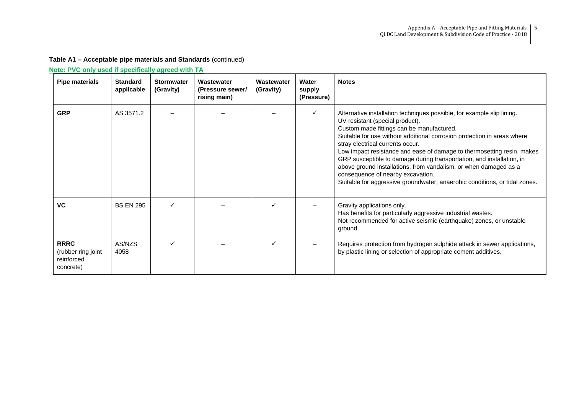| <b>Pipe materials</b>                                        | <b>Standard</b><br>applicable | <b>Stormwater</b><br>(Gravity) | Wastewater<br>(Pressure sewer/<br>rising main) | Wastewater<br>(Gravity) | Water<br>supply<br>(Pressure) | <b>Notes</b>                                                                                                                                                                                                                                                                                                                                                                                                                                                                                                                                                                                                    |
|--------------------------------------------------------------|-------------------------------|--------------------------------|------------------------------------------------|-------------------------|-------------------------------|-----------------------------------------------------------------------------------------------------------------------------------------------------------------------------------------------------------------------------------------------------------------------------------------------------------------------------------------------------------------------------------------------------------------------------------------------------------------------------------------------------------------------------------------------------------------------------------------------------------------|
| <b>GRP</b>                                                   | AS 3571.2                     |                                |                                                |                         |                               | Alternative installation techniques possible, for example slip lining.<br>UV resistant (special product).<br>Custom made fittings can be manufactured.<br>Suitable for use without additional corrosion protection in areas where<br>stray electrical currents occur.<br>Low impact resistance and ease of damage to thermosetting resin, makes<br>GRP susceptible to damage during transportation, and installation, in<br>above ground installations, from vandalism, or when damaged as a<br>consequence of nearby excavation.<br>Suitable for aggressive groundwater, anaerobic conditions, or tidal zones. |
| <b>VC</b>                                                    | <b>BS EN 295</b>              | ✓                              |                                                |                         |                               | Gravity applications only.<br>Has benefits for particularly aggressive industrial wastes.<br>Not recommended for active seismic (earthquake) zones, or unstable<br>ground.                                                                                                                                                                                                                                                                                                                                                                                                                                      |
| <b>RRRC</b><br>(rubber ring joint<br>reinforced<br>concrete) | AS/NZS<br>4058                | ✓                              |                                                |                         |                               | Requires protection from hydrogen sulphide attack in sewer applications,<br>by plastic lining or selection of appropriate cement additives.                                                                                                                                                                                                                                                                                                                                                                                                                                                                     |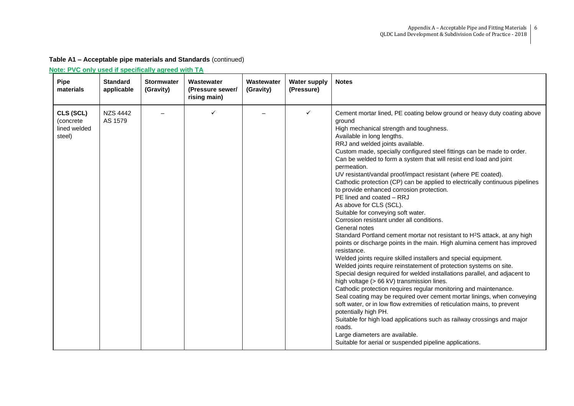| <b>Pipe</b><br>materials                         | <b>Standard</b><br>applicable | <b>Stormwater</b><br>(Gravity) | Wastewater<br>(Pressure sewer/<br>rising main) | Wastewater<br>(Gravity) | <b>Water supply</b><br>(Pressure) | <b>Notes</b>                                                                                                                                                                                                                                                                                                                                                                                                                                                                                                                                                                                                                                                                                                                                                                                                                                                                                                                                                                                                                                                                                                                                                                                                                                                                                                                                                                                                                                                                                                                                                                                                           |
|--------------------------------------------------|-------------------------------|--------------------------------|------------------------------------------------|-------------------------|-----------------------------------|------------------------------------------------------------------------------------------------------------------------------------------------------------------------------------------------------------------------------------------------------------------------------------------------------------------------------------------------------------------------------------------------------------------------------------------------------------------------------------------------------------------------------------------------------------------------------------------------------------------------------------------------------------------------------------------------------------------------------------------------------------------------------------------------------------------------------------------------------------------------------------------------------------------------------------------------------------------------------------------------------------------------------------------------------------------------------------------------------------------------------------------------------------------------------------------------------------------------------------------------------------------------------------------------------------------------------------------------------------------------------------------------------------------------------------------------------------------------------------------------------------------------------------------------------------------------------------------------------------------------|
| CLS (SCL)<br>(concrete<br>lined welded<br>steel) | <b>NZS 4442</b><br>AS 1579    |                                | ✓                                              |                         | ✓                                 | Cement mortar lined, PE coating below ground or heavy duty coating above<br>ground<br>High mechanical strength and toughness.<br>Available in long lengths.<br>RRJ and welded joints available.<br>Custom made, specially configured steel fittings can be made to order.<br>Can be welded to form a system that will resist end load and joint<br>permeation.<br>UV resistant/vandal proof/impact resistant (where PE coated).<br>Cathodic protection (CP) can be applied to electrically continuous pipelines<br>to provide enhanced corrosion protection.<br>PE lined and coated - RRJ<br>As above for CLS (SCL).<br>Suitable for conveying soft water.<br>Corrosion resistant under all conditions.<br>General notes<br>Standard Portland cement mortar not resistant to H <sup>2</sup> S attack, at any high<br>points or discharge points in the main. High alumina cement has improved<br>resistance.<br>Welded joints require skilled installers and special equipment.<br>Welded joints require reinstatement of protection systems on site.<br>Special design required for welded installations parallel, and adjacent to<br>high voltage (> 66 kV) transmission lines.<br>Cathodic protection requires regular monitoring and maintenance.<br>Seal coating may be required over cement mortar linings, when conveying<br>soft water, or in low flow extremities of reticulation mains, to prevent<br>potentially high PH.<br>Suitable for high load applications such as railway crossings and major<br>roads.<br>Large diameters are available.<br>Suitable for aerial or suspended pipeline applications. |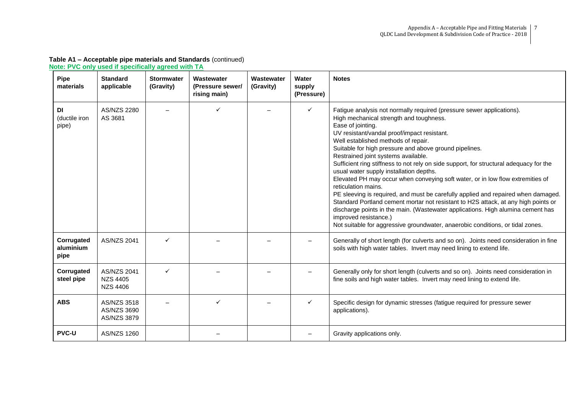| Pipe<br>materials               | <b>Standard</b><br>applicable                            | <b>Stormwater</b><br>(Gravity) | Wastewater<br>(Pressure sewer/<br>rising main) | Wastewater<br>(Gravity) | Water<br>supply<br>(Pressure) | <b>Notes</b>                                                                                                                                                                                                                                                                                                                                                                                                                                                                                                                                                                                                                                                                                                                                                                                                                                                                                                                                        |
|---------------------------------|----------------------------------------------------------|--------------------------------|------------------------------------------------|-------------------------|-------------------------------|-----------------------------------------------------------------------------------------------------------------------------------------------------------------------------------------------------------------------------------------------------------------------------------------------------------------------------------------------------------------------------------------------------------------------------------------------------------------------------------------------------------------------------------------------------------------------------------------------------------------------------------------------------------------------------------------------------------------------------------------------------------------------------------------------------------------------------------------------------------------------------------------------------------------------------------------------------|
| DI<br>(ductile iron<br>pipe)    | AS/NZS 2280<br>AS 3681                                   |                                | ✓                                              |                         | ✓                             | Fatigue analysis not normally required (pressure sewer applications).<br>High mechanical strength and toughness.<br>Ease of jointing.<br>UV resistant/vandal proof/impact resistant.<br>Well established methods of repair.<br>Suitable for high pressure and above ground pipelines.<br>Restrained joint systems available.<br>Sufficient ring stiffness to not rely on side support, for structural adequacy for the<br>usual water supply installation depths.<br>Elevated PH may occur when conveying soft water, or in low flow extremities of<br>reticulation mains.<br>PE sleeving is required, and must be carefully applied and repaired when damaged.<br>Standard Portland cement mortar not resistant to H2S attack, at any high points or<br>discharge points in the main. (Wastewater applications. High alumina cement has<br>improved resistance.)<br>Not suitable for aggressive groundwater, anaerobic conditions, or tidal zones. |
| Corrugated<br>aluminium<br>pipe | <b>AS/NZS 2041</b>                                       | ✓                              |                                                |                         |                               | Generally of short length (for culverts and so on). Joints need consideration in fine<br>soils with high water tables. Invert may need lining to extend life.                                                                                                                                                                                                                                                                                                                                                                                                                                                                                                                                                                                                                                                                                                                                                                                       |
| Corrugated<br>steel pipe        | <b>AS/NZS 2041</b><br><b>NZS 4405</b><br><b>NZS 4406</b> | ✓                              |                                                |                         |                               | Generally only for short length (culverts and so on). Joints need consideration in<br>fine soils and high water tables. Invert may need lining to extend life.                                                                                                                                                                                                                                                                                                                                                                                                                                                                                                                                                                                                                                                                                                                                                                                      |
| <b>ABS</b>                      | AS/NZS 3518<br>AS/NZS 3690<br>AS/NZS 3879                |                                | ✓                                              |                         | $\checkmark$                  | Specific design for dynamic stresses (fatigue required for pressure sewer<br>applications).                                                                                                                                                                                                                                                                                                                                                                                                                                                                                                                                                                                                                                                                                                                                                                                                                                                         |
| <b>PVC-U</b>                    | AS/NZS 1260                                              |                                |                                                |                         |                               | Gravity applications only.                                                                                                                                                                                                                                                                                                                                                                                                                                                                                                                                                                                                                                                                                                                                                                                                                                                                                                                          |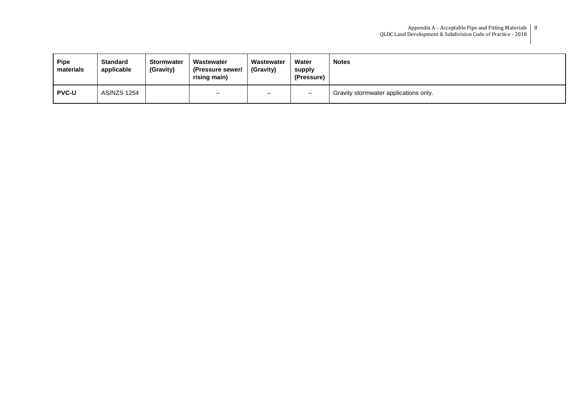| <b>Pipe</b><br>materials | <b>Standard</b><br>applicable | <b>Stormwater</b><br>(Gravity) | Wastewater<br>(Pressure sewer/<br>rising main) | Wastewater<br>(Gravity) | Water<br>supply<br>(Pressure) | <b>Notes</b>                          |
|--------------------------|-------------------------------|--------------------------------|------------------------------------------------|-------------------------|-------------------------------|---------------------------------------|
| <b>PVC-U</b>             | AS/NZS 1254                   |                                | $\overline{\phantom{0}}$                       |                         | $\overline{\phantom{0}}$      | Gravity stormwater applications only. |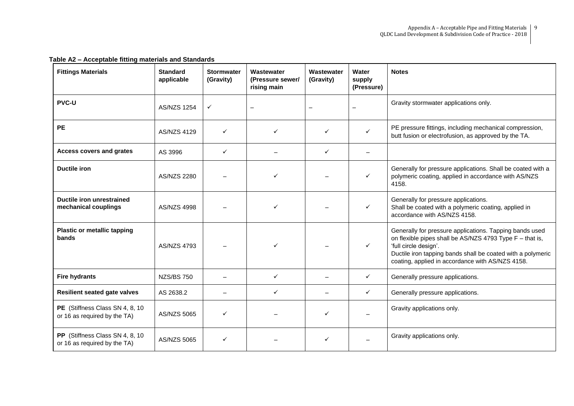| $1007E$ . Tooplasto filmig filatorialo and oldridated<br><b>Fittings Materials</b> | <b>Standard</b>    | <b>Stormwater</b> | Wastewater                      | Wastewater   | Water                | <b>Notes</b>                                                                                                                                                                                                                                                    |
|------------------------------------------------------------------------------------|--------------------|-------------------|---------------------------------|--------------|----------------------|-----------------------------------------------------------------------------------------------------------------------------------------------------------------------------------------------------------------------------------------------------------------|
|                                                                                    | applicable         | (Gravity)         | (Pressure sewer/<br>rising main | (Gravity)    | supply<br>(Pressure) |                                                                                                                                                                                                                                                                 |
| <b>PVC-U</b>                                                                       | <b>AS/NZS 1254</b> | $\checkmark$      |                                 |              |                      | Gravity stormwater applications only.                                                                                                                                                                                                                           |
| <b>PE</b>                                                                          | <b>AS/NZS 4129</b> | ✓                 | ✓                               |              |                      | PE pressure fittings, including mechanical compression,<br>butt fusion or electrofusion, as approved by the TA.                                                                                                                                                 |
| <b>Access covers and grates</b>                                                    | AS 3996            | ✓                 |                                 | ✓            |                      |                                                                                                                                                                                                                                                                 |
| <b>Ductile iron</b>                                                                | AS/NZS 2280        |                   | ✓                               |              | ✓                    | Generally for pressure applications. Shall be coated with a<br>polymeric coating, applied in accordance with AS/NZS<br>4158.                                                                                                                                    |
| Ductile iron unrestrained<br>mechanical couplings                                  | <b>AS/NZS 4998</b> |                   | ✓                               |              | ✓                    | Generally for pressure applications.<br>Shall be coated with a polymeric coating, applied in<br>accordance with AS/NZS 4158.                                                                                                                                    |
| <b>Plastic or metallic tapping</b><br>bands                                        | <b>AS/NZS 4793</b> |                   |                                 |              | ✓                    | Generally for pressure applications. Tapping bands used<br>on flexible pipes shall be AS/NZS 4793 Type F - that is,<br>'full circle design'.<br>Ductile iron tapping bands shall be coated with a polymeric<br>coating, applied in accordance with AS/NZS 4158. |
| <b>Fire hydrants</b>                                                               | <b>NZS/BS 750</b>  |                   | $\checkmark$                    |              | ✓                    | Generally pressure applications.                                                                                                                                                                                                                                |
| <b>Resilient seated gate valves</b>                                                | AS 2638.2          |                   | $\checkmark$                    |              | ✓                    | Generally pressure applications.                                                                                                                                                                                                                                |
| PE (Stiffness Class SN 4, 8, 10)<br>or 16 as required by the TA)                   | AS/NZS 5065        | ✓                 |                                 | $\checkmark$ |                      | Gravity applications only.                                                                                                                                                                                                                                      |
| PP (Stiffness Class SN 4, 8, 10)<br>or 16 as required by the TA)                   | AS/NZS 5065        |                   |                                 |              |                      | Gravity applications only.                                                                                                                                                                                                                                      |

### **Table A2 – Acceptable fitting materials and Standards**